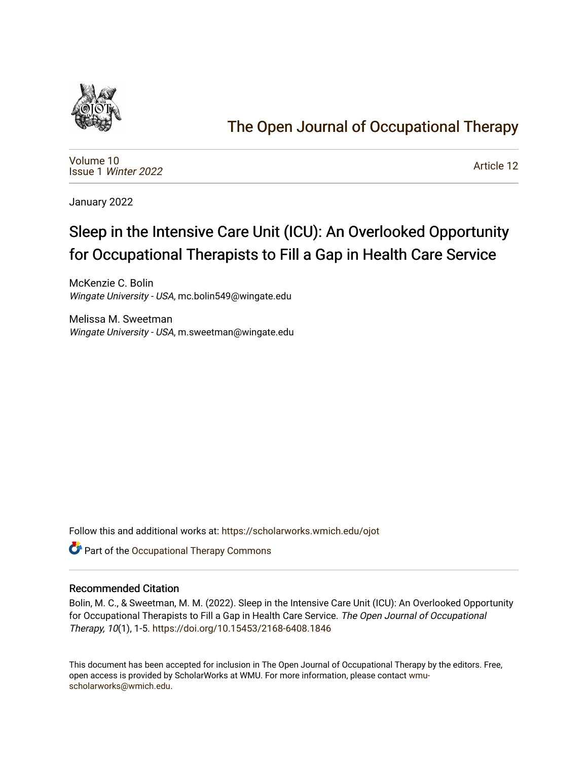

## [The Open Journal of Occupational Therapy](https://scholarworks.wmich.edu/ojot)

[Volume 10](https://scholarworks.wmich.edu/ojot/vol10) Issue 1 [Winter 2022](https://scholarworks.wmich.edu/ojot/vol10/iss1) 

[Article 12](https://scholarworks.wmich.edu/ojot/vol10/iss1/12) 

January 2022

# Sleep in the Intensive Care Unit (ICU): An Overlooked Opportunity for Occupational Therapists to Fill a Gap in Health Care Service

McKenzie C. Bolin Wingate University - USA, mc.bolin549@wingate.edu

Melissa M. Sweetman Wingate University - USA, m.sweetman@wingate.edu

Follow this and additional works at: [https://scholarworks.wmich.edu/ojot](https://scholarworks.wmich.edu/ojot?utm_source=scholarworks.wmich.edu%2Fojot%2Fvol10%2Fiss1%2F12&utm_medium=PDF&utm_campaign=PDFCoverPages)

**C** Part of the Occupational Therapy Commons

### Recommended Citation

Bolin, M. C., & Sweetman, M. M. (2022). Sleep in the Intensive Care Unit (ICU): An Overlooked Opportunity for Occupational Therapists to Fill a Gap in Health Care Service. The Open Journal of Occupational Therapy, 10(1), 1-5. <https://doi.org/10.15453/2168-6408.1846>

This document has been accepted for inclusion in The Open Journal of Occupational Therapy by the editors. Free, open access is provided by ScholarWorks at WMU. For more information, please contact [wmu](mailto:wmu-scholarworks@wmich.edu)[scholarworks@wmich.edu.](mailto:wmu-scholarworks@wmich.edu)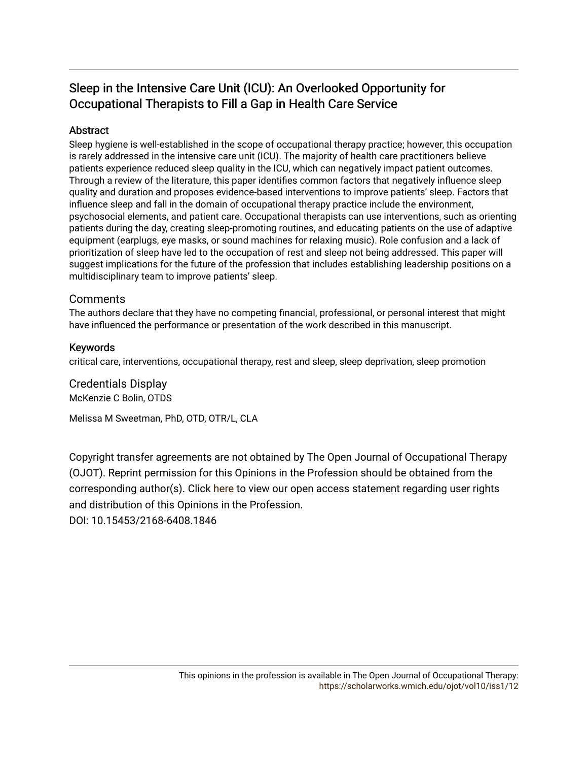## Sleep in the Intensive Care Unit (ICU): An Overlooked Opportunity for Occupational Therapists to Fill a Gap in Health Care Service

### Abstract

Sleep hygiene is well-established in the scope of occupational therapy practice; however, this occupation is rarely addressed in the intensive care unit (ICU). The majority of health care practitioners believe patients experience reduced sleep quality in the ICU, which can negatively impact patient outcomes. Through a review of the literature, this paper identifies common factors that negatively influence sleep quality and duration and proposes evidence-based interventions to improve patients' sleep. Factors that influence sleep and fall in the domain of occupational therapy practice include the environment, psychosocial elements, and patient care. Occupational therapists can use interventions, such as orienting patients during the day, creating sleep-promoting routines, and educating patients on the use of adaptive equipment (earplugs, eye masks, or sound machines for relaxing music). Role confusion and a lack of prioritization of sleep have led to the occupation of rest and sleep not being addressed. This paper will suggest implications for the future of the profession that includes establishing leadership positions on a multidisciplinary team to improve patients' sleep.

### **Comments**

The authors declare that they have no competing financial, professional, or personal interest that might have influenced the performance or presentation of the work described in this manuscript.

### Keywords

critical care, interventions, occupational therapy, rest and sleep, sleep deprivation, sleep promotion

Credentials Display McKenzie C Bolin, OTDS

Melissa M Sweetman, PhD, OTD, OTR/L, CLA

Copyright transfer agreements are not obtained by The Open Journal of Occupational Therapy (OJOT). Reprint permission for this Opinions in the Profession should be obtained from the corresponding author(s). Click [here](https://scholarworks.wmich.edu/ojot/policies.html#rights) to view our open access statement regarding user rights and distribution of this Opinions in the Profession. DOI: 10.15453/2168-6408.1846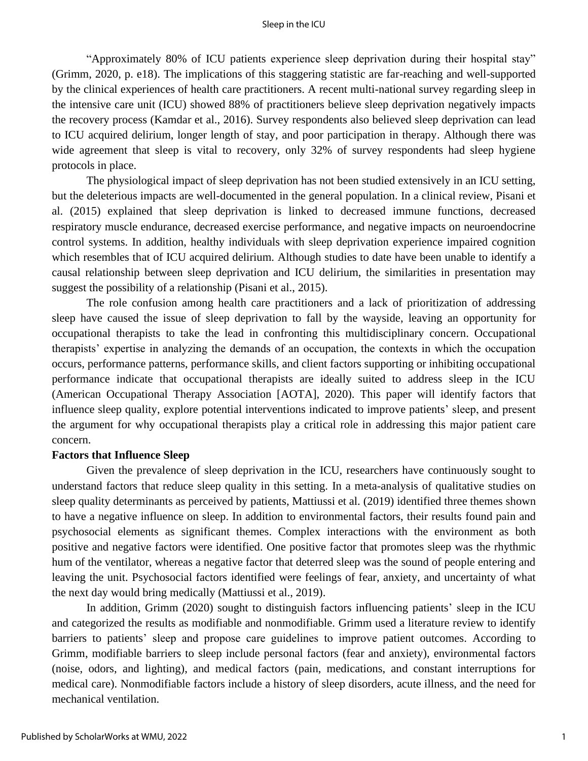"Approximately 80% of ICU patients experience sleep deprivation during their hospital stay" (Grimm, 2020, p. e18). The implications of this staggering statistic are far-reaching and well-supported by the clinical experiences of health care practitioners. A recent multi-national survey regarding sleep in the intensive care unit (ICU) showed 88% of practitioners believe sleep deprivation negatively impacts the recovery process (Kamdar et al., 2016). Survey respondents also believed sleep deprivation can lead to ICU acquired delirium, longer length of stay, and poor participation in therapy. Although there was wide agreement that sleep is vital to recovery, only 32% of survey respondents had sleep hygiene protocols in place.

The physiological impact of sleep deprivation has not been studied extensively in an ICU setting, but the deleterious impacts are well-documented in the general population. In a clinical review, Pisani et al. (2015) explained that sleep deprivation is linked to decreased immune functions, decreased respiratory muscle endurance, decreased exercise performance, and negative impacts on neuroendocrine control systems. In addition, healthy individuals with sleep deprivation experience impaired cognition which resembles that of ICU acquired delirium. Although studies to date have been unable to identify a causal relationship between sleep deprivation and ICU delirium, the similarities in presentation may suggest the possibility of a relationship (Pisani et al., 2015).

The role confusion among health care practitioners and a lack of prioritization of addressing sleep have caused the issue of sleep deprivation to fall by the wayside, leaving an opportunity for occupational therapists to take the lead in confronting this multidisciplinary concern. Occupational therapists' expertise in analyzing the demands of an occupation, the contexts in which the occupation occurs, performance patterns, performance skills, and client factors supporting or inhibiting occupational performance indicate that occupational therapists are ideally suited to address sleep in the ICU (American Occupational Therapy Association [AOTA], 2020). This paper will identify factors that influence sleep quality, explore potential interventions indicated to improve patients' sleep, and present the argument for why occupational therapists play a critical role in addressing this major patient care concern.

#### **Factors that Influence Sleep**

Given the prevalence of sleep deprivation in the ICU, researchers have continuously sought to understand factors that reduce sleep quality in this setting. In a meta-analysis of qualitative studies on sleep quality determinants as perceived by patients, Mattiussi et al. (2019) identified three themes shown to have a negative influence on sleep. In addition to environmental factors, their results found pain and psychosocial elements as significant themes. Complex interactions with the environment as both positive and negative factors were identified. One positive factor that promotes sleep was the rhythmic hum of the ventilator, whereas a negative factor that deterred sleep was the sound of people entering and leaving the unit. Psychosocial factors identified were feelings of fear, anxiety, and uncertainty of what the next day would bring medically (Mattiussi et al., 2019).

In addition, Grimm (2020) sought to distinguish factors influencing patients' sleep in the ICU and categorized the results as modifiable and nonmodifiable. Grimm used a literature review to identify barriers to patients' sleep and propose care guidelines to improve patient outcomes. According to Grimm, modifiable barriers to sleep include personal factors (fear and anxiety), environmental factors (noise, odors, and lighting), and medical factors (pain, medications, and constant interruptions for medical care). Nonmodifiable factors include a history of sleep disorders, acute illness, and the need for mechanical ventilation.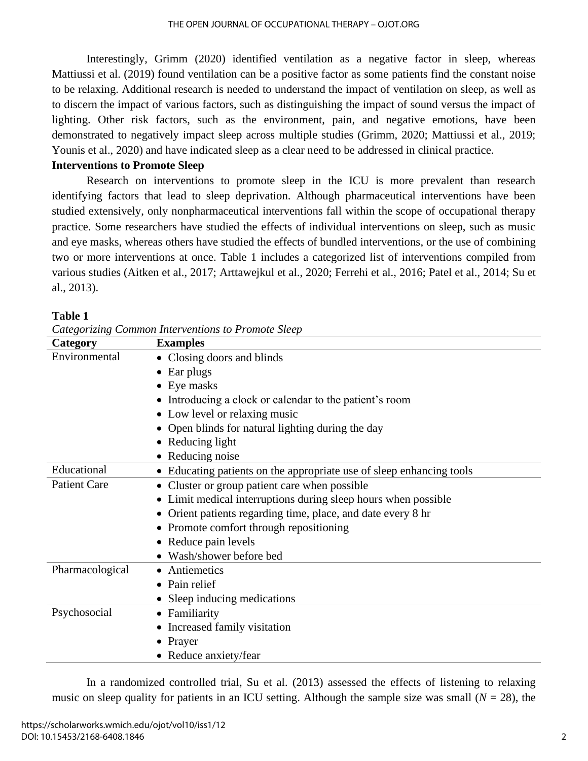Interestingly, Grimm (2020) identified ventilation as a negative factor in sleep, whereas Mattiussi et al. (2019) found ventilation can be a positive factor as some patients find the constant noise to be relaxing. Additional research is needed to understand the impact of ventilation on sleep, as well as to discern the impact of various factors, such as distinguishing the impact of sound versus the impact of lighting. Other risk factors, such as the environment, pain, and negative emotions, have been demonstrated to negatively impact sleep across multiple studies (Grimm, 2020; Mattiussi et al., 2019; Younis et al., 2020) and have indicated sleep as a clear need to be addressed in clinical practice.

### **Interventions to Promote Sleep**

Research on interventions to promote sleep in the ICU is more prevalent than research identifying factors that lead to sleep deprivation. Although pharmaceutical interventions have been studied extensively, only nonpharmaceutical interventions fall within the scope of occupational therapy practice. Some researchers have studied the effects of individual interventions on sleep, such as music and eye masks, whereas others have studied the effects of bundled interventions, or the use of combining two or more interventions at once. Table 1 includes a categorized list of interventions compiled from various studies (Aitken et al., 2017; Arttawejkul et al., 2020; Ferrehi et al., 2016; Patel et al., 2014; Su et al., 2013).

| m<br>Ш<br>. . |  |
|---------------|--|
|---------------|--|

| Categorizang Common mier ventions to I romote sitelp |                                                                      |
|------------------------------------------------------|----------------------------------------------------------------------|
| Category                                             | <b>Examples</b>                                                      |
| Environmental                                        | • Closing doors and blinds                                           |
|                                                      | $\bullet$ Ear plugs                                                  |
|                                                      | $\bullet$ Eye masks                                                  |
|                                                      | • Introducing a clock or calendar to the patient's room              |
|                                                      | • Low level or relaxing music                                        |
|                                                      | • Open blinds for natural lighting during the day                    |
|                                                      | • Reducing light                                                     |
|                                                      | • Reducing noise                                                     |
| Educational                                          | • Educating patients on the appropriate use of sleep enhancing tools |
| <b>Patient Care</b>                                  | • Cluster or group patient care when possible                        |
|                                                      | • Limit medical interruptions during sleep hours when possible       |
|                                                      | • Orient patients regarding time, place, and date every 8 hr         |
|                                                      | • Promote comfort through repositioning                              |
|                                                      | • Reduce pain levels                                                 |
|                                                      | • Wash/shower before bed                                             |
| Pharmacological                                      | • Antiemetics                                                        |
|                                                      | • Pain relief                                                        |
|                                                      | • Sleep inducing medications                                         |
| Psychosocial                                         | • Familiarity                                                        |
|                                                      | • Increased family visitation                                        |
|                                                      | • Prayer                                                             |
|                                                      | • Reduce anxiety/fear                                                |

*Categorizing Common Interventions to Promote Sleep*

In a randomized controlled trial, Su et al. (2013) assessed the effects of listening to relaxing music on sleep quality for patients in an ICU setting. Although the sample size was small ( $N = 28$ ), the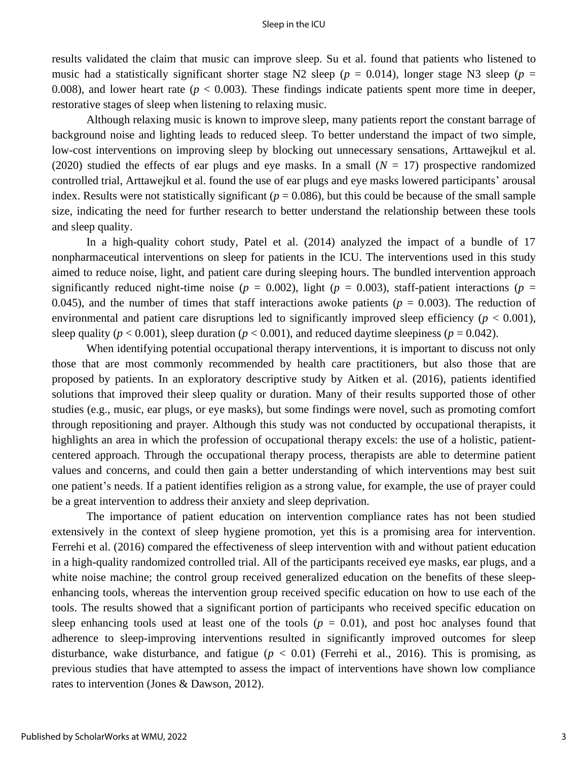#### Sleep in the ICU

results validated the claim that music can improve sleep. Su et al. found that patients who listened to music had a statistically significant shorter stage N2 sleep ( $p = 0.014$ ), longer stage N3 sleep ( $p =$ 0.008), and lower heart rate ( $p < 0.003$ ). These findings indicate patients spent more time in deeper, restorative stages of sleep when listening to relaxing music.

Although relaxing music is known to improve sleep, many patients report the constant barrage of background noise and lighting leads to reduced sleep. To better understand the impact of two simple, low-cost interventions on improving sleep by blocking out unnecessary sensations, Arttawejkul et al. (2020) studied the effects of ear plugs and eye masks. In a small  $(N = 17)$  prospective randomized controlled trial, Arttawejkul et al. found the use of ear plugs and eye masks lowered participants' arousal index. Results were not statistically significant ( $p = 0.086$ ), but this could be because of the small sample size, indicating the need for further research to better understand the relationship between these tools and sleep quality.

In a high-quality cohort study, Patel et al. (2014) analyzed the impact of a bundle of 17 nonpharmaceutical interventions on sleep for patients in the ICU. The interventions used in this study aimed to reduce noise, light, and patient care during sleeping hours. The bundled intervention approach significantly reduced night-time noise ( $p = 0.002$ ), light ( $p = 0.003$ ), staff-patient interactions ( $p =$ 0.045), and the number of times that staff interactions awoke patients  $(p = 0.003)$ . The reduction of environmental and patient care disruptions led to significantly improved sleep efficiency ( $p < 0.001$ ), sleep quality ( $p < 0.001$ ), sleep duration ( $p < 0.001$ ), and reduced daytime sleepiness ( $p = 0.042$ ).

When identifying potential occupational therapy interventions, it is important to discuss not only those that are most commonly recommended by health care practitioners, but also those that are proposed by patients. In an exploratory descriptive study by Aitken et al. (2016), patients identified solutions that improved their sleep quality or duration. Many of their results supported those of other studies (e.g., music, ear plugs, or eye masks), but some findings were novel, such as promoting comfort through repositioning and prayer. Although this study was not conducted by occupational therapists, it highlights an area in which the profession of occupational therapy excels: the use of a holistic, patientcentered approach. Through the occupational therapy process, therapists are able to determine patient values and concerns, and could then gain a better understanding of which interventions may best suit one patient's needs. If a patient identifies religion as a strong value, for example, the use of prayer could be a great intervention to address their anxiety and sleep deprivation.

The importance of patient education on intervention compliance rates has not been studied extensively in the context of sleep hygiene promotion, yet this is a promising area for intervention. Ferrehi et al. (2016) compared the effectiveness of sleep intervention with and without patient education in a high-quality randomized controlled trial. All of the participants received eye masks, ear plugs, and a white noise machine; the control group received generalized education on the benefits of these sleepenhancing tools, whereas the intervention group received specific education on how to use each of the tools. The results showed that a significant portion of participants who received specific education on sleep enhancing tools used at least one of the tools  $(p = 0.01)$ , and post hoc analyses found that adherence to sleep-improving interventions resulted in significantly improved outcomes for sleep disturbance, wake disturbance, and fatigue  $(p < 0.01)$  (Ferrehi et al., 2016). This is promising, as previous studies that have attempted to assess the impact of interventions have shown low compliance rates to intervention (Jones & Dawson, 2012).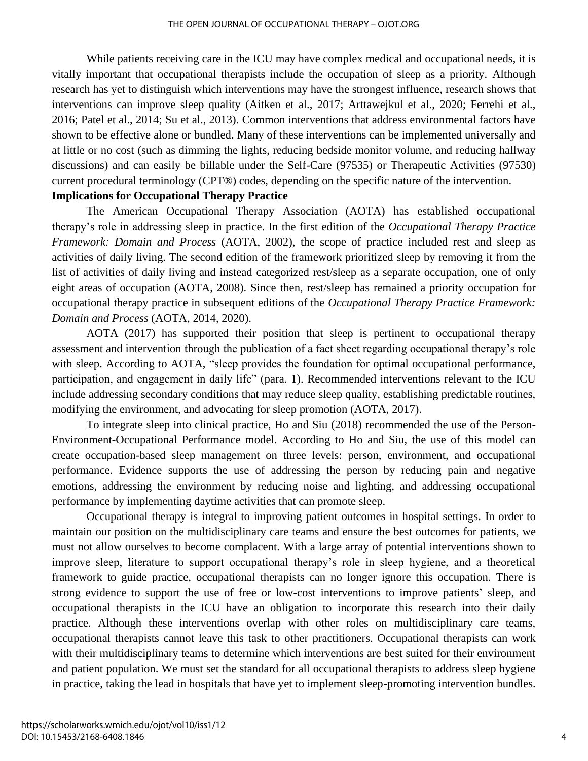While patients receiving care in the ICU may have complex medical and occupational needs, it is vitally important that occupational therapists include the occupation of sleep as a priority. Although research has yet to distinguish which interventions may have the strongest influence, research shows that interventions can improve sleep quality (Aitken et al., 2017; Arttawejkul et al., 2020; Ferrehi et al., 2016; Patel et al., 2014; Su et al., 2013). Common interventions that address environmental factors have shown to be effective alone or bundled. Many of these interventions can be implemented universally and at little or no cost (such as dimming the lights, reducing bedside monitor volume, and reducing hallway discussions) and can easily be billable under the Self-Care (97535) or Therapeutic Activities (97530) current procedural terminology (CPT®) codes, depending on the specific nature of the intervention. **Implications for Occupational Therapy Practice**

The American Occupational Therapy Association (AOTA) has established occupational therapy's role in addressing sleep in practice. In the first edition of the *Occupational Therapy Practice Framework: Domain and Process* (AOTA, 2002), the scope of practice included rest and sleep as activities of daily living. The second edition of the framework prioritized sleep by removing it from the list of activities of daily living and instead categorized rest/sleep as a separate occupation, one of only eight areas of occupation (AOTA, 2008). Since then, rest/sleep has remained a priority occupation for occupational therapy practice in subsequent editions of the *Occupational Therapy Practice Framework: Domain and Process* (AOTA, 2014, 2020).

AOTA (2017) has supported their position that sleep is pertinent to occupational therapy assessment and intervention through the publication of a fact sheet regarding occupational therapy's role with sleep. According to AOTA, "sleep provides the foundation for optimal occupational performance, participation, and engagement in daily life" (para. 1). Recommended interventions relevant to the ICU include addressing secondary conditions that may reduce sleep quality, establishing predictable routines, modifying the environment, and advocating for sleep promotion (AOTA, 2017).

To integrate sleep into clinical practice, Ho and Siu (2018) recommended the use of the Person-Environment-Occupational Performance model. According to Ho and Siu, the use of this model can create occupation-based sleep management on three levels: person, environment, and occupational performance. Evidence supports the use of addressing the person by reducing pain and negative emotions, addressing the environment by reducing noise and lighting, and addressing occupational performance by implementing daytime activities that can promote sleep.

Occupational therapy is integral to improving patient outcomes in hospital settings. In order to maintain our position on the multidisciplinary care teams and ensure the best outcomes for patients, we must not allow ourselves to become complacent. With a large array of potential interventions shown to improve sleep, literature to support occupational therapy's role in sleep hygiene, and a theoretical framework to guide practice, occupational therapists can no longer ignore this occupation. There is strong evidence to support the use of free or low-cost interventions to improve patients' sleep, and occupational therapists in the ICU have an obligation to incorporate this research into their daily practice. Although these interventions overlap with other roles on multidisciplinary care teams, occupational therapists cannot leave this task to other practitioners. Occupational therapists can work with their multidisciplinary teams to determine which interventions are best suited for their environment and patient population. We must set the standard for all occupational therapists to address sleep hygiene in practice, taking the lead in hospitals that have yet to implement sleep-promoting intervention bundles.